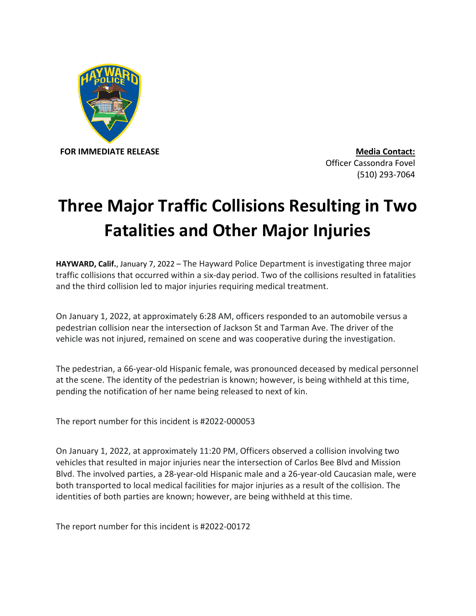

Officer Cassondra Fovel (510) 293-7064

## **Three Major Traffic Collisions Resulting in Two Fatalities and Other Major Injuries**

**HAYWARD, Calif.**, January 7, 2022 – The Hayward Police Department is investigating three major traffic collisions that occurred within a six-day period. Two of the collisions resulted in fatalities and the third collision led to major injuries requiring medical treatment.

On January 1, 2022, at approximately 6:28 AM, officers responded to an automobile versus a pedestrian collision near the intersection of Jackson St and Tarman Ave. The driver of the vehicle was not injured, remained on scene and was cooperative during the investigation.

The pedestrian, a 66-year-old Hispanic female, was pronounced deceased by medical personnel at the scene. The identity of the pedestrian is known; however, is being withheld at this time, pending the notification of her name being released to next of kin.

The report number for this incident is #2022-000053

On January 1, 2022, at approximately 11:20 PM, Officers observed a collision involving two vehicles that resulted in major injuries near the intersection of Carlos Bee Blvd and Mission Blvd. The involved parties, a 28-year-old Hispanic male and a 26-year-old Caucasian male, were both transported to local medical facilities for major injuries as a result of the collision. The identities of both parties are known; however, are being withheld at this time.

The report number for this incident is #2022-00172